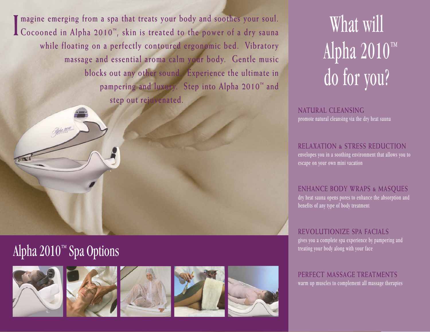**I magine emerging from a spa that treats your body and soothes your soul. Cocooned in Alpha 2010 ™, skin is treated to the power of a dry sauna while floating on a perfectly contoured ergonomic bed. Vibratory massage and essential aroma calm your body. Gentle music blocks out any other sound. Experience the ultimate in pampering and luxury. Step into Alpha 2010™ and step out rejuvenated.** 

### Alpha 2010™ Spa Options







# What will Alpha 2010™ do for you?

**NATURAL CLEANSING** promote natural cleansing via the dry heat sauna

#### **RELAXATION & STRESS REDUCTION** envelopes you in a soothing environment that allows you to escape on your own mini vacation

**ENHANCE BODY WRAPS & MASQUES** dry heat sauna opens pores to enhance the absorption and benefits of any type of body treatment

**REVOLUTIONIZE SPA FACIALS** gives you a complete spa experience by pampering and treating your body along with your face

**PERFECT MASSAGE TREATMENTS** warm up muscles to complement all massage therapies